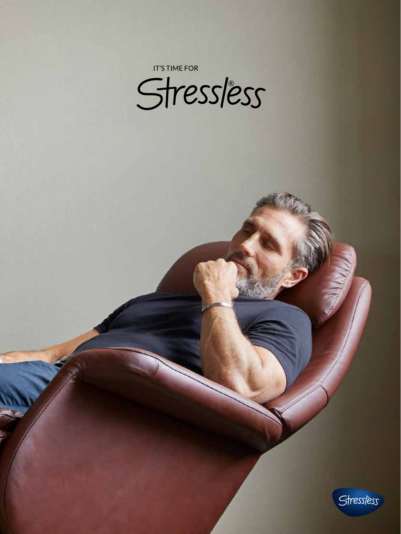**IT'S TIME FOR** 

Stressless

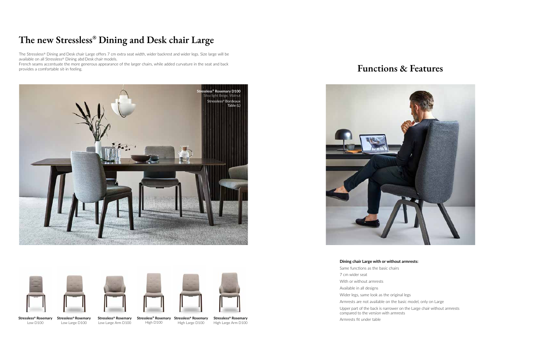



**Stressless® Rosemary Stressless® Rosemary** Low D100

Low Large D100

**Stressless® Rosemary** Low Large Arm D100

**Stressless® Rosemary Stressless® Rosemary** High Large D100

High D100

**Stressless® Rosemary** High Large Arm D100

**Dining chair Large with or without armrests:**

Same functions as the basic chairs 7 cm wider seat With or without armrests Available in all designs Wider legs, same look as the original legs Armrests are not available on the basic model, only on Large Upper part of the back is narrower on the Large chair without armrests compared to the version with armrests Armrests fit under table

## **The new Stressless® Dining and Desk chair Large**

The Stressless® Dining and Desk chair Large offers 7 cm extra seat width, wider backrest and wider legs. Size large will be available on all Stressless® Dining abd Desk chair models.

French seams accentuate the more generous appearance of the larger chairs, while added curvature in the seat and back provides a comfortable sit-in feeling.















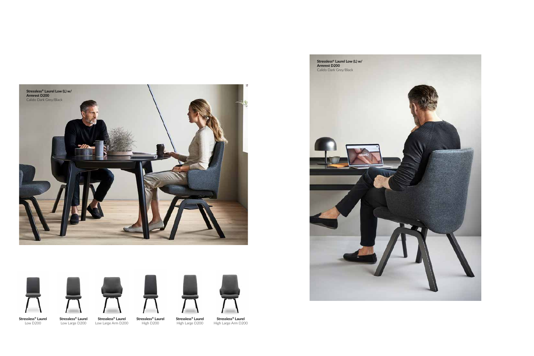



Low Large D200





**Stressless® Laurel** Low Large Arm D200 **Stressless® Laurel** High Large D200



**Stressless® Laurel** High D200



**Stressless® Laurel** High Large Arm D200



**Stressless® Laurel Low (L) w/**



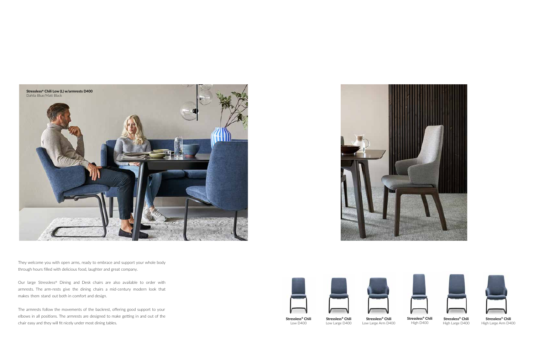They welcome you with open arms, ready to embrace and support your whole body through hours filled with delicious food, laughter and great company.

Our large Stressless® Dining and Desk chairs are also available to order with armrests. The arm-rests give the dining chairs a mid-century modern look that makes them stand out both in comfort and design.

The armrests follow the movements of the backrest, offering good support to your elbows in all positions. The armrests are designed to make getting in and out of the chair easy and they will fit nicely under most dining tables.





**Stressless® Chili** Low D400

**Stressless® Chili** Low Large D400



Low Large Arm D400





**Stressless® Chili** High Large D400



**Stressless® Chili** High D400



**Stressless® Chili** High Large Arm D400

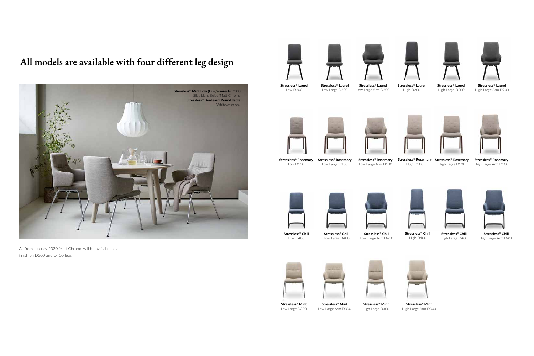

As from January 2020 Matt Chrome will be available as a finish on D300 and D400 legs.







**Stressless® Mint** Low Large D300

**Stressless® Mint** Low Large Arm D300



High Large D300



**Stressless® Rosemary** Low Large Arm D100









**Stressless® Mint** High Large Arm D300

**Stressless® Laurel** Low D200

**Stressless® Laurel** Low Large D200

**Stressless® Laurel** Low Large Arm D200









**Stressless® Laurel** High Large D200



**Stressless® Laurel** High D200



**Stressless® Laurel** High Large Arm D200

**Stressless® Rosemary** Low D100

**Stressless® Rosemary** Low Large D100



**Stressless® Rosemary Stressless® Rosemary** High Large D100



High D100



**Stressless® Rosemary** High Large Arm D100

**Stressless® Chili** Low D400

**Stressless® Chili** Low Large D400

**Stressless® Chili** Low Large Arm D400







**Stressless® Chili** High Large D400



**Stressless® Chili** High D400



**Stressless® Chili** High Large Arm D400

## **All models are available with four different leg design**